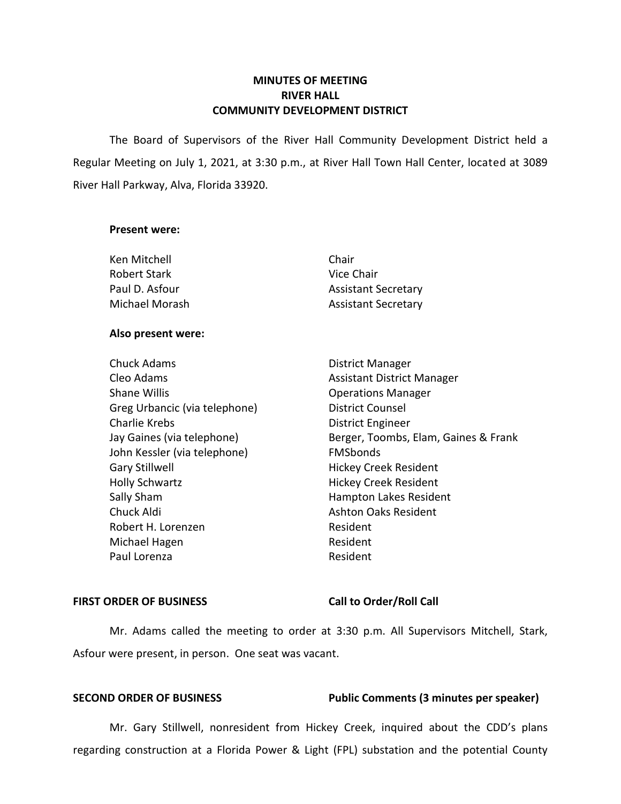# **MINUTES OF MEETING RIVER HALL COMMUNITY DEVELOPMENT DISTRICT**

 The Board of Supervisors of the River Hall Community Development District held a Regular Meeting on July 1, 2021, at 3:30 p.m., at River Hall Town Hall Center, located at 3089 River Hall Parkway, Alva, Florida 33920.

### **Present were:**

| Ken Mitchell   | Chair                      |
|----------------|----------------------------|
| Robert Stark   | Vice Chair                 |
| Paul D. Asfour | <b>Assistant Secretary</b> |
| Michael Morash | <b>Assistant Secretary</b> |

### **Also present were:**

Chuck Adams **District Manager** Cleo Adams **Assistant District Manager** Assistant District Manager Shane Willis **Shane Willis Conserversity Operations Manager** Greg Urbancic (via telephone) District Counsel Charlie Krebs **District Engineer** John Kessler (via telephone) FMSbonds Gary Stillwell **Gary Stillwell Hickey Creek Resident** Holly Schwartz **Hickey Creek Resident** Sally Sham **Hampton Lakes Resident** Chuck Aldi Ashton Oaks Resident Robert H. Lorenzen **Resident** Michael Hagen **Resident** Resident Paul Lorenza **Resident** 

Jay Gaines (via telephone) Berger, Toombs, Elam, Gaines & Frank

### FIRST ORDER OF BUSINESS Call to Order/Roll Call

 Mr. Adams called the meeting to order at 3:30 p.m. All Supervisors Mitchell, Stark, Asfour were present, in person. One seat was vacant.

# **SECOND ORDER OF BUSINESS** Public Comments (3 minutes per speaker)

Mr. Gary Stillwell, nonresident from Hickey Creek, inquired about the CDD's plans regarding construction at a Florida Power & Light (FPL) substation and the potential County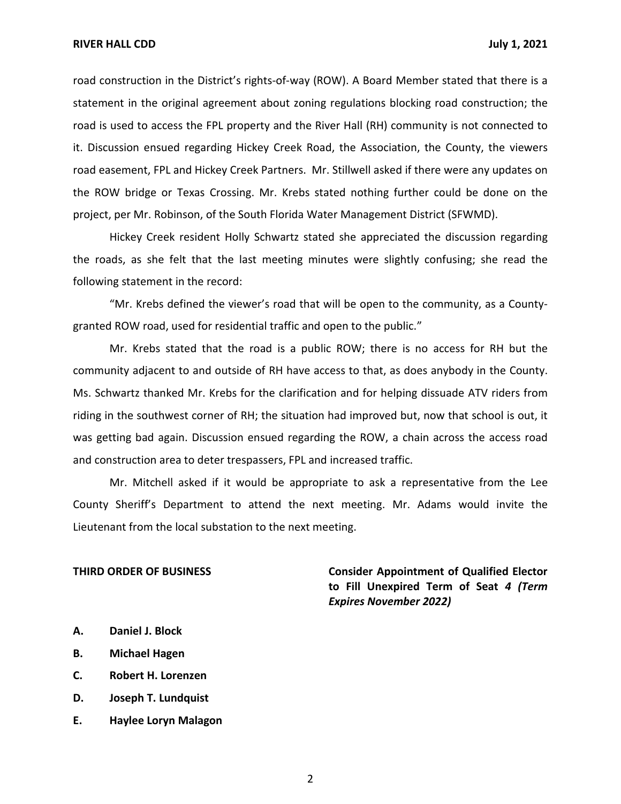road construction in the District's rights-of-way (ROW). A Board Member stated that there is a statement in the original agreement about zoning regulations blocking road construction; the road is used to access the FPL property and the River Hall (RH) community is not connected to it. Discussion ensued regarding Hickey Creek Road, the Association, the County, the viewers road easement, FPL and Hickey Creek Partners. Mr. Stillwell asked if there were any updates on the ROW bridge or Texas Crossing. Mr. Krebs stated nothing further could be done on the project, per Mr. Robinson, of the South Florida Water Management District (SFWMD).

Hickey Creek resident Holly Schwartz stated she appreciated the discussion regarding the roads, as she felt that the last meeting minutes were slightly confusing; she read the following statement in the record:

 "Mr. Krebs defined the viewer's road that will be open to the community, as a County-granted ROW road, used for residential traffic and open to the public."

Mr. Krebs stated that the road is a public ROW; there is no access for RH but the community adjacent to and outside of RH have access to that, as does anybody in the County. Ms. Schwartz thanked Mr. Krebs for the clarification and for helping dissuade ATV riders from riding in the southwest corner of RH; the situation had improved but, now that school is out, it was getting bad again. Discussion ensued regarding the ROW, a chain across the access road and construction area to deter trespassers, FPL and increased traffic.

Mr. Mitchell asked if it would be appropriate to ask a representative from the Lee County Sheriff's Department to attend the next meeting. Mr. Adams would invite the Lieutenant from the local substation to the next meeting.

 **THIRD ORDER OF BUSINESS Consider Appointment of Qualified Elector to Fill Unexpired Term of Seat** *4 (Term Expires November 2022)* 

- **A. Daniel J. Block**
- **B. Michael Hagen**
- **C. Robert H. Lorenzen**
- **D. Joseph T. Lundquist**
- **E. Haylee Loryn Malagon**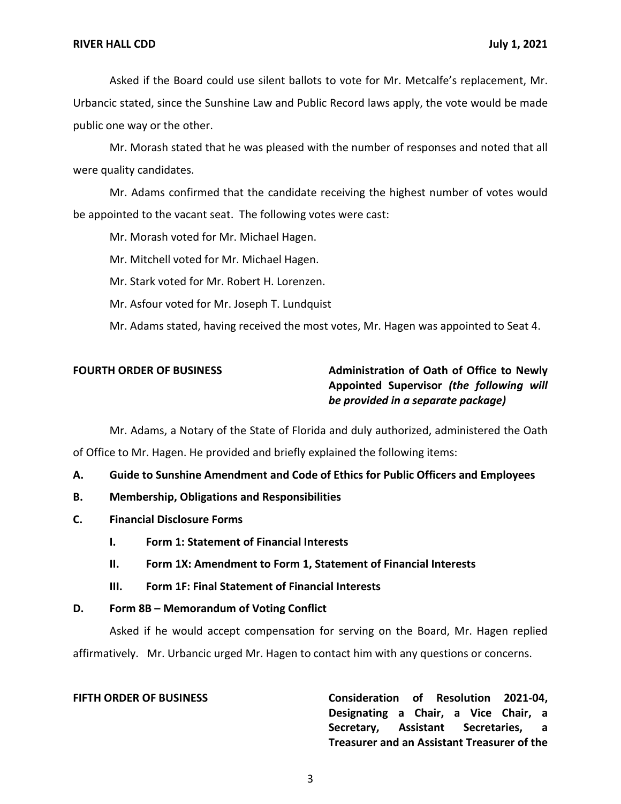Asked if the Board could use silent ballots to vote for Mr. Metcalfe's replacement, Mr. Urbancic stated, since the Sunshine Law and Public Record laws apply, the vote would be made public one way or the other.

Mr. Morash stated that he was pleased with the number of responses and noted that all were quality candidates.

Mr. Adams confirmed that the candidate receiving the highest number of votes would be appointed to the vacant seat. The following votes were cast:

Mr. Morash voted for Mr. Michael Hagen.

Mr. Mitchell voted for Mr. Michael Hagen.

Mr. Stark voted for Mr. Robert H. Lorenzen.

Mr. Asfour voted for Mr. Joseph T. Lundquist

Mr. Adams stated, having received the most votes, Mr. Hagen was appointed to Seat 4.

# **FOURTH ORDER OF BUSINESS** Administration of Oath of Office to Newly  **Appointed Supervisor** *(the following will be provided in a separate package)*

Mr. Adams, a Notary of the State of Florida and duly authorized, administered the Oath of Office to Mr. Hagen. He provided and briefly explained the following items:

 **A. Guide to Sunshine Amendment and Code of Ethics for Public Officers and Employees** 

- **B. Membership, Obligations and Responsibilities**
- **C. Financial Disclosure Forms** 
	- **I. Form 1: Statement of Financial Interests**
	- **II. Form 1X: Amendment to Form 1, Statement of Financial Interests**
	- **III. Form 1F: Final Statement of Financial Interests**

### **D. Form 8B – Memorandum of Voting Conflict**

Asked if he would accept compensation for serving on the Board, Mr. Hagen replied affirmatively. Mr. Urbancic urged Mr. Hagen to contact him with any questions or concerns.

**FIFTH ORDER OF BUSINESS Consideration of Resolution 2021-04, Designating a Chair, a Vice Chair, a Secretary, Assistant Secretaries, a Treasurer and an Assistant Treasurer of the**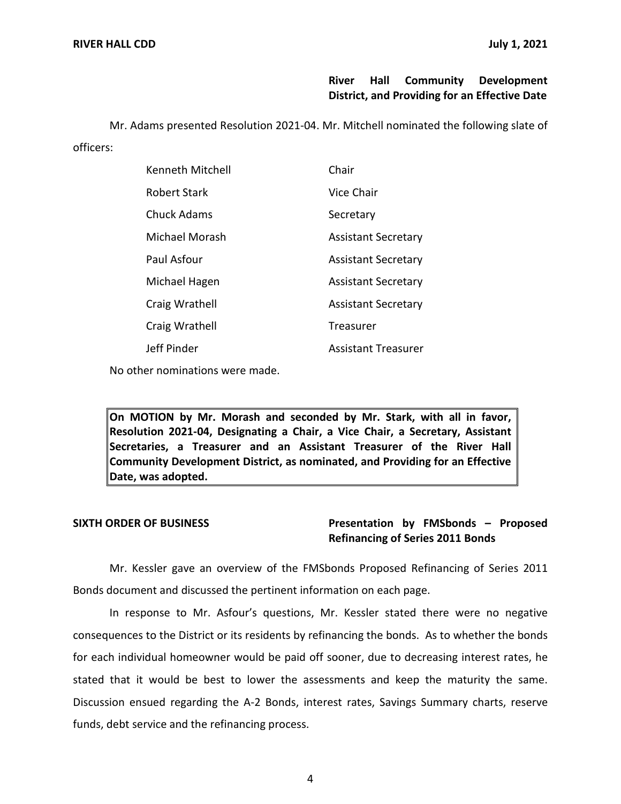# **River Hall Community Development District, and Providing for an Effective Date**

 Mr. Adams presented Resolution 2021-04. Mr. Mitchell nominated the following slate of officers:

| Kenneth Mitchell | Chair                      |
|------------------|----------------------------|
| Robert Stark     | Vice Chair                 |
| Chuck Adams      | Secretary                  |
| Michael Morash   | <b>Assistant Secretary</b> |
| Paul Asfour      | <b>Assistant Secretary</b> |
| Michael Hagen    | <b>Assistant Secretary</b> |
| Craig Wrathell   | <b>Assistant Secretary</b> |
| Craig Wrathell   | Treasurer                  |
| Jeff Pinder      | <b>Assistant Treasurer</b> |

No other nominations were made.

 **On MOTION by Mr. Morash and seconded by Mr. Stark, with all in favor, Resolution 2021-04, Designating a Chair, a Vice Chair, a Secretary, Assistant Secretaries, a Treasurer and an Assistant Treasurer of the River Hall Community Development District, as nominated, and Providing for an Effective Date, was adopted.** 

# **SIXTH ORDER OF BUSINESS Presentation by FMSbonds – Proposed Refinancing of Series 2011 Bonds**

Mr. Kessler gave an overview of the FMSbonds Proposed Refinancing of Series 2011 Bonds document and discussed the pertinent information on each page.

In response to Mr. Asfour's questions, Mr. Kessler stated there were no negative consequences to the District or its residents by refinancing the bonds. As to whether the bonds for each individual homeowner would be paid off sooner, due to decreasing interest rates, he stated that it would be best to lower the assessments and keep the maturity the same. Discussion ensued regarding the A-2 Bonds, interest rates, Savings Summary charts, reserve funds, debt service and the refinancing process.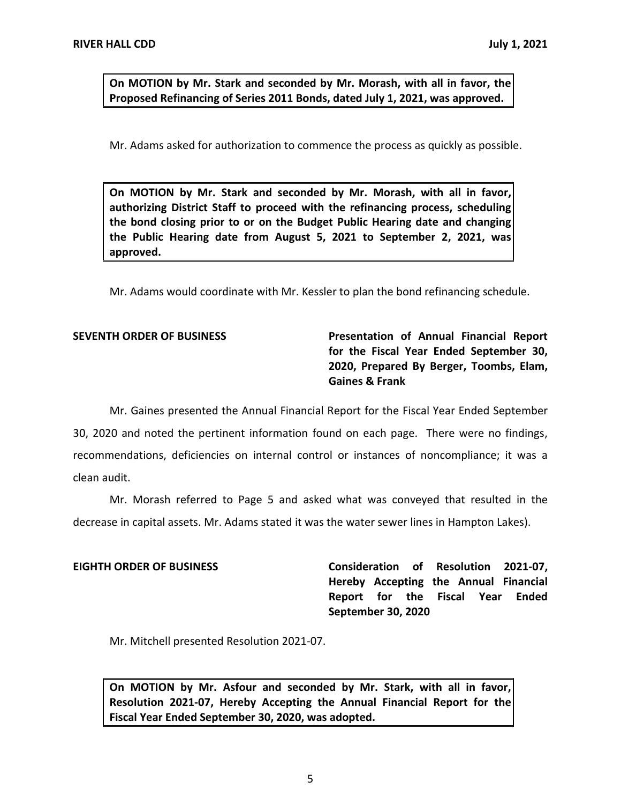**On MOTION by Mr. Stark and seconded by Mr. Morash, with all in favor, the Proposed Refinancing of Series 2011 Bonds, dated July 1, 2021, was approved.** 

Mr. Adams asked for authorization to commence the process as quickly as possible.

 **On MOTION by Mr. Stark and seconded by Mr. Morash, with all in favor, authorizing District Staff to proceed with the refinancing process, scheduling the bond closing prior to or on the Budget Public Hearing date and changing the Public Hearing date from August 5, 2021 to September 2, 2021, was approved.** 

Mr. Adams would coordinate with Mr. Kessler to plan the bond refinancing schedule.

**SEVENTH ORDER OF BUSINESS Presentation of Annual Financial Report for the Fiscal Year Ended September 30, 2020, Prepared By Berger, Toombs, Elam, Gaines & Frank** 

 30, 2020 and noted the pertinent information found on each page. There were no findings, recommendations, deficiencies on internal control or instances of noncompliance; it was a Mr. Gaines presented the Annual Financial Report for the Fiscal Year Ended September clean audit.

Mr. Morash referred to Page 5 and asked what was conveyed that resulted in the decrease in capital assets. Mr. Adams stated it was the water sewer lines in Hampton Lakes).

**EIGHTH ORDER OF BUSINESS Consideration of Resolution 2021-07, Hereby Accepting the Annual Financial Report for the Fiscal Year Ended September 30, 2020** 

Mr. Mitchell presented Resolution 2021-07.

 **On MOTION by Mr. Asfour and seconded by Mr. Stark, with all in favor, Resolution 2021-07, Hereby Accepting the Annual Financial Report for the Fiscal Year Ended September 30, 2020, was adopted.**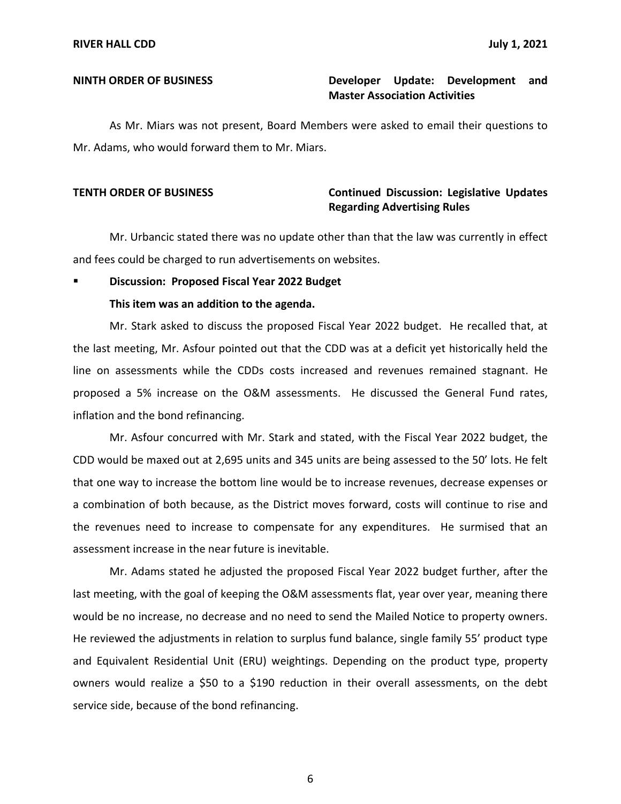# **NINTH ORDER OF BUSINESS Developer Update: Development and Master Association Activities**

 Mr. Adams, who would forward them to Mr. Miars. As Mr. Miars was not present, Board Members were asked to email their questions to

# **TENTH ORDER OF BUSINESS Continued Discussion: Legislative Updates Regarding Advertising Rules**

Mr. Urbancic stated there was no update other than that the law was currently in effect and fees could be charged to run advertisements on websites.

### **Discussion: Proposed Fiscal Year 2022 Budget**

## **This item was an addition to the agenda.**

Mr. Stark asked to discuss the proposed Fiscal Year 2022 budget. He recalled that, at the last meeting, Mr. Asfour pointed out that the CDD was at a deficit yet historically held the line on assessments while the CDDs costs increased and revenues remained stagnant. He proposed a 5% increase on the O&M assessments. He discussed the General Fund rates, inflation and the bond refinancing.

Mr. Asfour concurred with Mr. Stark and stated, with the Fiscal Year 2022 budget, the CDD would be maxed out at 2,695 units and 345 units are being assessed to the 50' lots. He felt that one way to increase the bottom line would be to increase revenues, decrease expenses or a combination of both because, as the District moves forward, costs will continue to rise and the revenues need to increase to compensate for any expenditures. He surmised that an assessment increase in the near future is inevitable.

Mr. Adams stated he adjusted the proposed Fiscal Year 2022 budget further, after the last meeting, with the goal of keeping the O&M assessments flat, year over year, meaning there would be no increase, no decrease and no need to send the Mailed Notice to property owners. He reviewed the adjustments in relation to surplus fund balance, single family 55' product type and Equivalent Residential Unit (ERU) weightings. Depending on the product type, property owners would realize a \$50 to a \$190 reduction in their overall assessments, on the debt service side, because of the bond refinancing.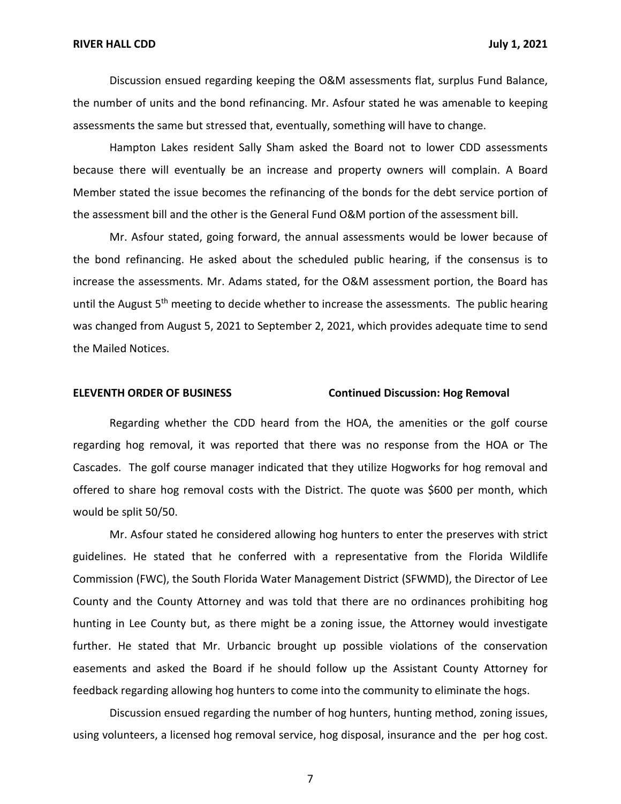Discussion ensued regarding keeping the O&M assessments flat, surplus Fund Balance, the number of units and the bond refinancing. Mr. Asfour stated he was amenable to keeping assessments the same but stressed that, eventually, something will have to change.

Hampton Lakes resident Sally Sham asked the Board not to lower CDD assessments because there will eventually be an increase and property owners will complain. A Board Member stated the issue becomes the refinancing of the bonds for the debt service portion of the assessment bill and the other is the General Fund O&M portion of the assessment bill.

Mr. Asfour stated, going forward, the annual assessments would be lower because of the bond refinancing. He asked about the scheduled public hearing, if the consensus is to increase the assessments. Mr. Adams stated, for the O&M assessment portion, the Board has until the August 5<sup>th</sup> meeting to decide whether to increase the assessments. The public hearing was changed from August 5, 2021 to September 2, 2021, which provides adequate time to send the Mailed Notices.

### **ELEVENTH ORDER OF BUSINESS Continued Discussion: Hog Removal**

Regarding whether the CDD heard from the HOA, the amenities or the golf course regarding hog removal, it was reported that there was no response from the HOA or The Cascades. The golf course manager indicated that they utilize Hogworks for hog removal and offered to share hog removal costs with the District. The quote was \$600 per month, which would be split 50/50.

Mr. Asfour stated he considered allowing hog hunters to enter the preserves with strict guidelines. He stated that he conferred with a representative from the Florida Wildlife Commission (FWC), the South Florida Water Management District (SFWMD), the Director of Lee County and the County Attorney and was told that there are no ordinances prohibiting hog hunting in Lee County but, as there might be a zoning issue, the Attorney would investigate further. He stated that Mr. Urbancic brought up possible violations of the conservation easements and asked the Board if he should follow up the Assistant County Attorney for feedback regarding allowing hog hunters to come into the community to eliminate the hogs.

Discussion ensued regarding the number of hog hunters, hunting method, zoning issues, using volunteers, a licensed hog removal service, hog disposal, insurance and the per hog cost.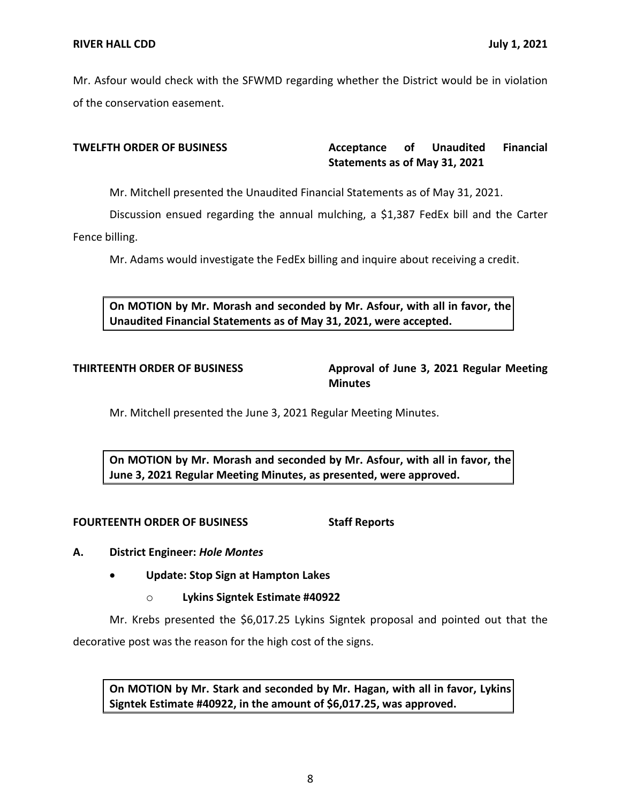Mr. Asfour would check with the SFWMD regarding whether the District would be in violation of the conservation easement.

### Acceptance of  **Statements as of May 31, 2021 TWELFTH ORDER OF BUSINESS Acceptance of Unaudited Financial**

Mr. Mitchell presented the Unaudited Financial Statements as of May 31, 2021.

Discussion ensued regarding the annual mulching, a \$1,387 FedEx bill and the Carter Fence billing.

Mr. Adams would investigate the FedEx billing and inquire about receiving a credit.

 **On MOTION by Mr. Morash and seconded by Mr. Asfour, with all in favor, the Unaudited Financial Statements as of May 31, 2021, were accepted.** 

# **THIRTEENTH ORDER OF BUSINESS Approval of June 3, 2021 Regular Meeting Minutes**

Mr. Mitchell presented the June 3, 2021 Regular Meeting Minutes.

 **On MOTION by Mr. Morash and seconded by Mr. Asfour, with all in favor, the June 3, 2021 Regular Meeting Minutes, as presented, were approved.** 

# **FOURTEENTH ORDER OF BUSINESS Staff Reports**

# **A. District Engineer:** *Hole Montes*

- **Update: Stop Sign at Hampton Lakes** 
	- o **Lykins Signtek Estimate #40922**

Mr. Krebs presented the [\\$6,017.25](https://6,017.25) Lykins Signtek proposal and pointed out that the decorative post was the reason for the high cost of the signs.

 **On MOTION by Mr. Stark and seconded by Mr. Hagan, with all in favor, Lykins Signtek Estimate #40922, in the amount of \$[6,017.25](https://6,017.25), was approved.**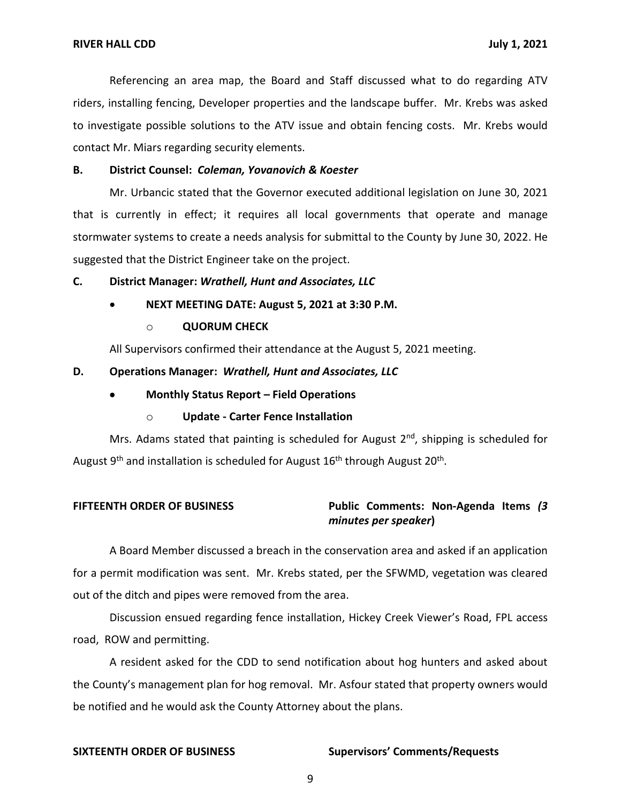Referencing an area map, the Board and Staff discussed what to do regarding ATV riders, installing fencing, Developer properties and the landscape buffer. Mr. Krebs was asked to investigate possible solutions to the ATV issue and obtain fencing costs. Mr. Krebs would contact Mr. Miars regarding security elements.

### **B. District Counsel:** *Coleman, Yovanovich & Koester*

Mr. Urbancic stated that the Governor executed additional legislation on June 30, 2021 that is currently in effect; it requires all local governments that operate and manage stormwater systems to create a needs analysis for submittal to the County by June 30, 2022. He suggested that the District Engineer take on the project.

 **C. District Manager:** *Wrathell, Hunt and Associates, LLC* 

- **NEXT MEETING DATE: August 5, 2021 at 3:30 P.M.** 
	- o **QUORUM CHECK**

All Supervisors confirmed their attendance at the August 5, 2021 meeting.

### **D. Operations Manager:** *Wrathell, Hunt and Associates, LLC*

- **Monthly Status Report – Field Operations** 
	- o **Update - Carter Fence Installation**

Mrs. Adams stated that painting is scheduled for August  $2<sup>nd</sup>$ , shipping is scheduled for August  $9<sup>th</sup>$  and installation is scheduled for August  $16<sup>th</sup>$  through August  $20<sup>th</sup>$ .

# **FIFTEENTH ORDER OF BUSINESS Public Comments: Non-Agenda Items** *(3 minutes per speaker***)**

A Board Member discussed a breach in the conservation area and asked if an application for a permit modification was sent. Mr. Krebs stated, per the SFWMD, vegetation was cleared out of the ditch and pipes were removed from the area.

Discussion ensued regarding fence installation, Hickey Creek Viewer's Road, FPL access road, ROW and permitting.

A resident asked for the CDD to send notification about hog hunters and asked about the County's management plan for hog removal. Mr. Asfour stated that property owners would be notified and he would ask the County Attorney about the plans.

# **SIXTEENTH ORDER OF BUSINESS Supervisors' Comments/Requests**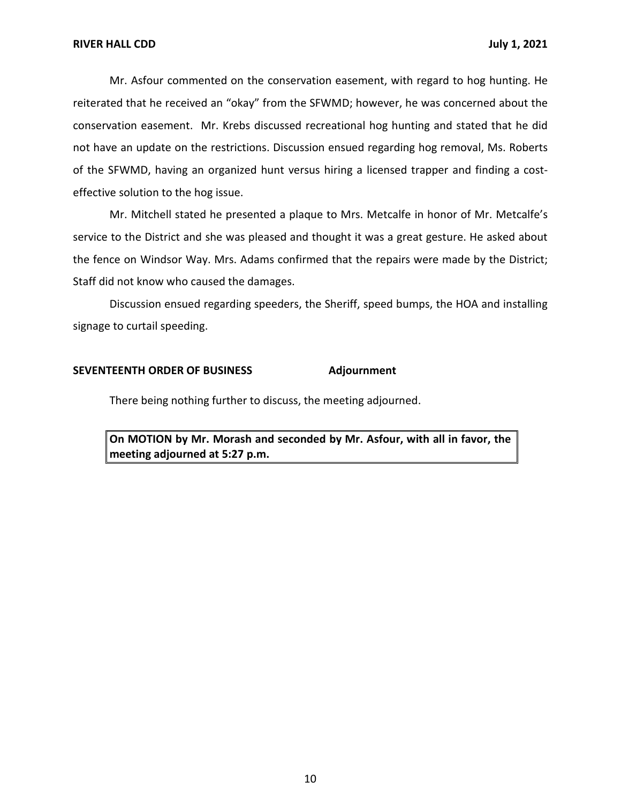Mr. Asfour commented on the conservation easement, with regard to hog hunting. He reiterated that he received an "okay" from the SFWMD; however, he was concerned about the conservation easement. Mr. Krebs discussed recreational hog hunting and stated that he did not have an update on the restrictions. Discussion ensued regarding hog removal, Ms. Roberts of the SFWMD, having an organized hunt versus hiring a licensed trapper and finding a costeffective solution to the hog issue.

Mr. Mitchell stated he presented a plaque to Mrs. Metcalfe in honor of Mr. Metcalfe's service to the District and she was pleased and thought it was a great gesture. He asked about the fence on Windsor Way. Mrs. Adams confirmed that the repairs were made by the District; Staff did not know who caused the damages.

Discussion ensued regarding speeders, the Sheriff, speed bumps, the HOA and installing signage to curtail speeding.

### **SEVENTEENTH ORDER OF BUSINESS Adjournment**

There being nothing further to discuss, the meeting adjourned.

 **On MOTION by Mr. Morash and seconded by Mr. Asfour, with all in favor, the meeting adjourned at 5:27 p.m.**